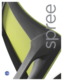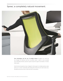## Spree<sup>®</sup>, a completely natural movement.



**New technologies and the use of multiple devices** throughout our work day has changed our behaviors and how we perform tasks. A desire to move naturally and comfortably between postures requires improved support and freedom of motion while seated.

Stretch back and experience Spree. Designed to fully support in multiple positions, Spree allows you to recline comfortably while feeling fully embraced by the wide lumbar area. Shoulders and arms are free to shift and twist in any position.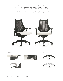Spree offers a breathable mesh or fully upholstered back option with a contoured padded seat to create the perfect blend of comfort and design. Spree mesh is available in eight colors and can also be upholstered in your choice of many fabrics and leathers.

Spree is Level 3 and Greenguard certified, meaning significant steps towards LEED status. Manufactured in an ISO 14001 facility and backed by a lifetime warranty.



#### Arm features and the contract of the contract of the contract of the contract of the Options of the Options of the Contract of the Contract of the Contract of the Contract of the Contract of the Contract of the Contract of



30º swiveling armcaps. 15º inward and outward.



Arm height adjustment



Wide Urethane armcap. Arm reclines with back movement.



Black (BLK) Nylon base standard.



Optional Polished Aluminum base.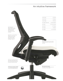# An intuitive framework

|                                                                                                                                                                 | Overall Depth                                                                                                     | 25"/635mm          |
|-----------------------------------------------------------------------------------------------------------------------------------------------------------------|-------------------------------------------------------------------------------------------------------------------|--------------------|
|                                                                                                                                                                 | Overall Width                                                                                                     | 26"/660mm          |
|                                                                                                                                                                 | Overall Height                                                                                                    | 39"/991mm          |
|                                                                                                                                                                 | Seat Height Adjustment                                                                                            | 16-20"/406-508mm   |
|                                                                                                                                                                 | Seat Depth                                                                                                        | 15-16.5"/381-419mm |
|                                                                                                                                                                 | Back Width                                                                                                        | 15.5"/394mm        |
| Spinal alignment<br>shifts subtly so the sitter                                                                                                                 | Back Height                                                                                                       | 20"/508mm          |
| slightly changes position<br>throughout the day.<br>Disk compression is<br>released by the tilting<br>movement.                                                 | Arm Height                                                                                                        | 7-11"/178-279mm    |
| Spree tilts in a smooth gliding<br>motion in a two to one<br>synchronized movement.<br>This allows the angle<br>between the torso and<br>the thighs to open up. |                                                                                                                   |                    |
|                                                                                                                                                                 | Seat Depth<br>The front edge of the seat can be rolled<br>to adjust seat depth to match the user's<br>leg length. |                    |
|                                                                                                                                                                 |                                                                                                                   |                    |
| Back of the seat slides rearwards<br>and reclines when tilting, so the<br>front of the seat does not lift and<br>put pressure behind the knees.                 |                                                                                                                   |                    |
| 'Soft Descent' pnuematic cylinder<br>on all models allows gentle and<br>accurate seat height adjustment.                                                        | Side activated tilt-tension<br>Five clicks to select the right tension for<br>an individual's body weight.        |                    |
|                                                                                                                                                                 |                                                                                                                   |                    |

**COMMUNICATION**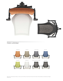

### Colors unlimited



6040 shown with Momentum Malmo, Gravlax seat with White (S1) mesh back, 6041 shown with Allante, White (A48E) seat and Momentum Nagoya, Shitake back.